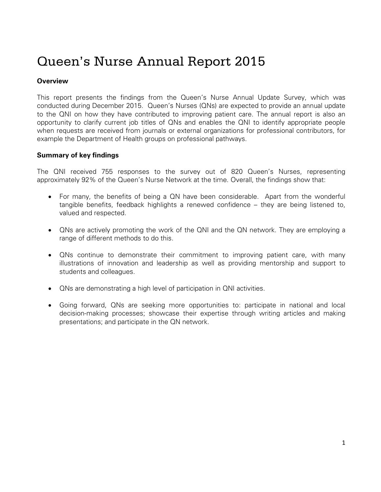# Queen's Nurse Annual Report 2015

## **Overview**

This report presents the findings from the Queen's Nurse Annual Update Survey, which was conducted during December 2015. Queen's Nurses (QNs) are expected to provide an annual update to the QNI on how they have contributed to improving patient care. The annual report is also an opportunity to clarify current job titles of QNs and enables the QNI to identify appropriate people when requests are received from journals or external organizations for professional contributors, for example the Department of Health groups on professional pathways.

## **Summary of key findings**

The QNI received 755 responses to the survey out of 820 Queen's Nurses, representing approximately 92% of the Queen's Nurse Network at the time. Overall, the findings show that:

- For many, the benefits of being a QN have been considerable. Apart from the wonderful tangible benefits, feedback highlights a renewed confidence – they are being listened to, valued and respected.
- QNs are actively promoting the work of the QNI and the QN network. They are employing a range of different methods to do this.
- QNs continue to demonstrate their commitment to improving patient care, with many illustrations of innovation and leadership as well as providing mentorship and support to students and colleagues.
- QNs are demonstrating a high level of participation in QNI activities.
- Going forward, QNs are seeking more opportunities to: participate in national and local decision-making processes; showcase their expertise through writing articles and making presentations; and participate in the QN network.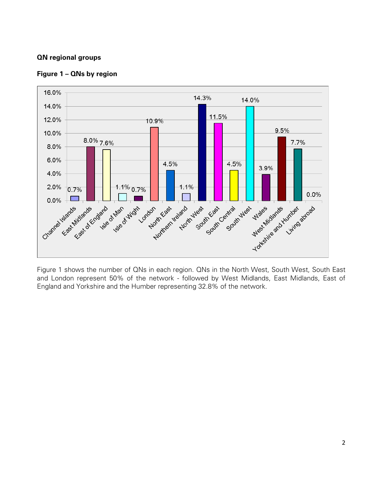## **QN regional groups**



#### **Figure 1 – QNs by region**

Figure 1 shows the number of QNs in each region. QNs in the North West, South West, South East and London represent 50% of the network - followed by West Midlands, East Midlands, East of England and Yorkshire and the Humber representing 32.8% of the network.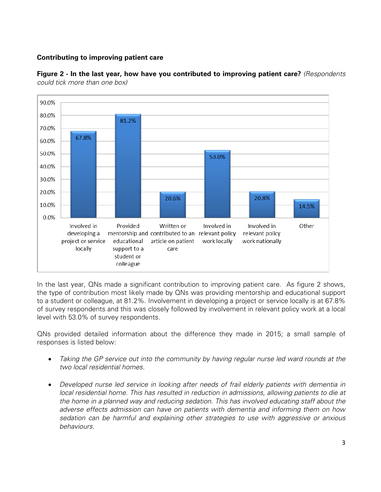#### **Contributing to improving patient care**



**Figure 2 - In the last year, how have you contributed to improving patient care?** *(Respondents could tick more than one box)*

In the last year, QNs made a significant contribution to improving patient care. As figure 2 shows, the type of contribution most likely made by QNs was providing mentorship and educational support to a student or colleague, at 81.2%. Involvement in developing a project or service locally is at 67.8% of survey respondents and this was closely followed by involvement in relevant policy work at a local level with 53.0% of survey respondents.

QNs provided detailed information about the difference they made in 2015; a small sample of responses is listed below:

- *Taking the GP service out into the community by having regular nurse led ward rounds at the two local residential homes.*
- *Developed nurse led service in looking after needs of frail elderly patients with dementia in local residential home. This has resulted in reduction in admissions, allowing patients to die at the home in a planned way and reducing sedation. This has involved educating staff about the adverse effects admission can have on patients with dementia and informing them on how sedation can be harmful and explaining other strategies to use with aggressive or anxious behaviours.*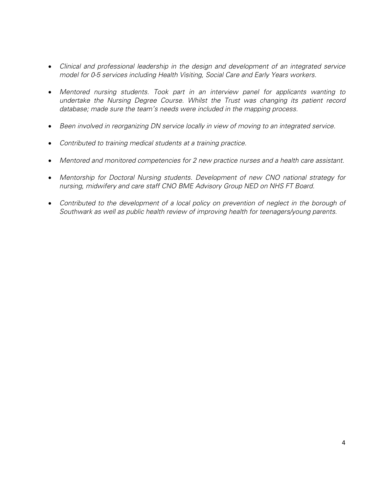- *Clinical and professional leadership in the design and development of an integrated service model for 0-5 services including Health Visiting, Social Care and Early Years workers.*
- *Mentored nursing students. Took part in an interview panel for applicants wanting to undertake the Nursing Degree Course. Whilst the Trust was changing its patient record database; made sure the team's needs were included in the mapping process.*
- *Been involved in reorganizing DN service locally in view of moving to an integrated service.*
- *Contributed to training medical students at a training practice.*
- *Mentored and monitored competencies for 2 new practice nurses and a health care assistant.*
- *Mentorship for Doctoral Nursing students. Development of new CNO national strategy for nursing, midwifery and care staff CNO BME Advisory Group NED on NHS FT Board.*
- Contributed to the development of a local policy on prevention of neglect in the borough of *Southwark as well as public health review of improving health for teenagers/young parents.*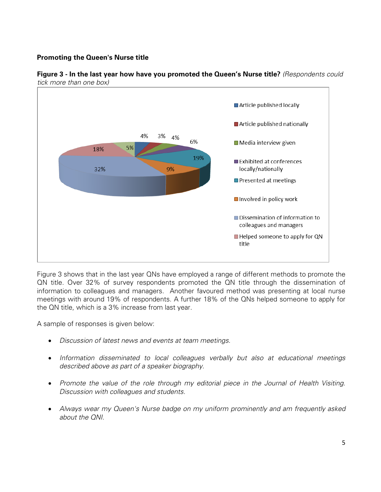## **Promoting the Queen's Nurse title**



**Figure 3 - In the last year how have you promoted the Queen's Nurse title?** *(Respondents could tick more than one box)*

Figure 3 shows that in the last year QNs have employed a range of different methods to promote the QN title. Over 32% of survey respondents promoted the QN title through the dissemination of information to colleagues and managers. Another favoured method was presenting at local nurse meetings with around 19% of respondents. A further 18% of the QNs helped someone to apply for the QN title, which is a 3% increase from last year.

A sample of responses is given below:

- *Discussion of latest news and events at team meetings.*
- *Information disseminated to local colleagues verbally but also at educational meetings described above as part of a speaker biography.*
- *Promote the value of the role through my editorial piece in the Journal of Health Visiting. Discussion with colleagues and students.*
- *Always wear my Queen's Nurse badge on my uniform prominently and am frequently asked about the QNI.*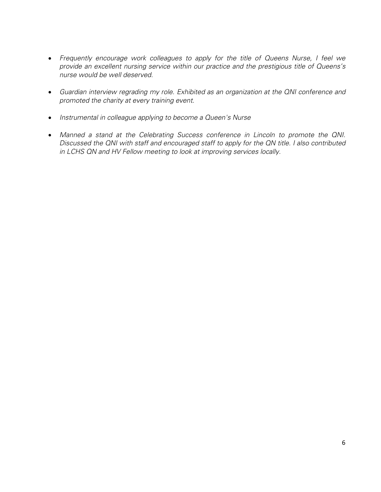- *Frequently encourage work colleagues to apply for the title of Queens Nurse, I feel we provide an excellent nursing service within our practice and the prestigious title of Queens's nurse would be well deserved.*
- *Guardian interview regrading my role. Exhibited as an organization at the QNI conference and promoted the charity at every training event.*
- *Instrumental in colleague applying to become a Queen's Nurse*
- *Manned a stand at the Celebrating Success conference in Lincoln to promote the QNI. Discussed the QNI with staff and encouraged staff to apply for the QN title. I also contributed in LCHS QN and HV Fellow meeting to look at improving services locally.*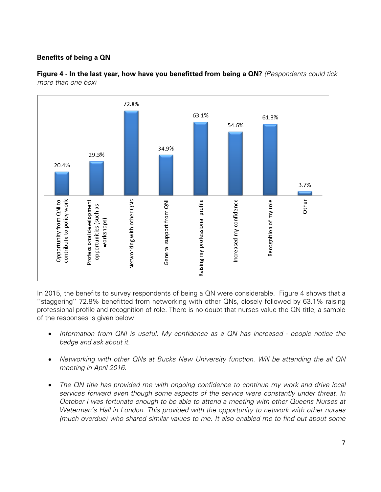## **Benefits of being a QN**



**Figure 4 - In the last year, how have you benefitted from being a QN?** *(Respondents could tick more than one box)*

In 2015, the benefits to survey respondents of being a QN were considerable. Figure 4 shows that a ''staggering'' 72.8% benefitted from networking with other QNs, closely followed by 63.1% raising professional profile and recognition of role. There is no doubt that nurses value the QN title, a sample of the responses is given below:

- *Information from QNI is useful. My confidence as a QN has increased - people notice the badge and ask about it.*
- *Networking with other QNs at Bucks New University function. Will be attending the all QN meeting in April 2016.*
- *The QN title has provided me with ongoing confidence to continue my work and drive local services forward even though some aspects of the service were constantly under threat. In October I was fortunate enough to be able to attend a meeting with other Queens Nurses at Waterman's Hall in London. This provided with the opportunity to network with other nurses (much overdue) who shared similar values to me. It also enabled me to find out about some*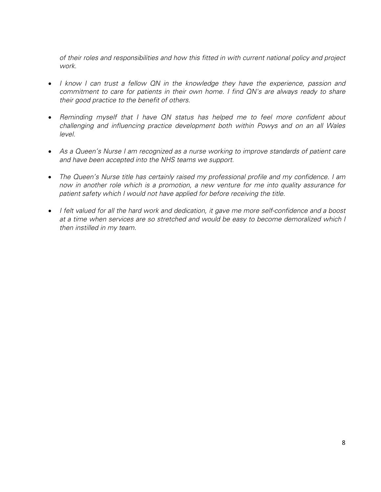*of their roles and responsibilities and how this fitted in with current national policy and project work.*

- *I know I can trust a fellow QN in the knowledge they have the experience, passion and commitment to care for patients in their own home. I find QN's are always ready to share their good practice to the benefit of others.*
- *Reminding myself that I have QN status has helped me to feel more confident about challenging and influencing practice development both within Powys and on an all Wales level.*
- *As a Queen's Nurse I am recognized as a nurse working to improve standards of patient care and have been accepted into the NHS teams we support.*
- *The Queen's Nurse title has certainly raised my professional profile and my confidence. I am now in another role which is a promotion, a new venture for me into quality assurance for patient safety which I would not have applied for before receiving the title.*
- *I felt valued for all the hard work and dedication, it gave me more self-confidence and a boost at a time when services are so stretched and would be easy to become demoralized which I then instilled in my team.*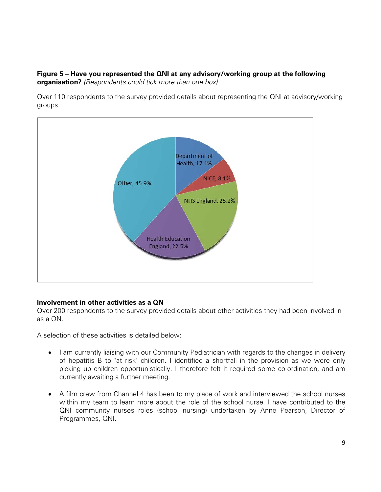#### **Figure 5 – Have you represented the QNI at any advisory/working group at the following organisation?** *(Respondents could tick more than one box)*

Over 110 respondents to the survey provided details about representing the QNI at advisory/working groups.



## **Involvement in other activities as a QN**

Over 200 respondents to the survey provided details about other activities they had been involved in as a QN.

A selection of these activities is detailed below:

- I am currently liaising with our Community Pediatrician with regards to the changes in delivery of hepatitis B to "at risk" children. I identified a shortfall in the provision as we were only picking up children opportunistically. I therefore felt it required some co-ordination, and am currently awaiting a further meeting.
- A film crew from Channel 4 has been to my place of work and interviewed the school nurses within my team to learn more about the role of the school nurse. I have contributed to the QNI community nurses roles (school nursing) undertaken by Anne Pearson, Director of Programmes, QNI.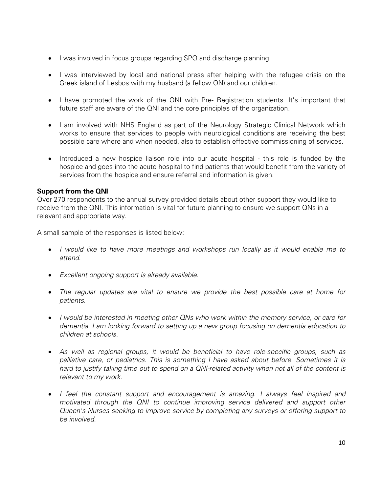- I was involved in focus groups regarding SPQ and discharge planning.
- I was interviewed by local and national press after helping with the refugee crisis on the Greek island of Lesbos with my husband (a fellow QN) and our children.
- I have promoted the work of the QNI with Pre- Registration students. It's important that future staff are aware of the QNI and the core principles of the organization.
- I am involved with NHS England as part of the Neurology Strategic Clinical Network which works to ensure that services to people with neurological conditions are receiving the best possible care where and when needed, also to establish effective commissioning of services.
- Introduced a new hospice liaison role into our acute hospital this role is funded by the hospice and goes into the acute hospital to find patients that would benefit from the variety of services from the hospice and ensure referral and information is given.

#### **Support from the QNI**

Over 270 respondents to the annual survey provided details about other support they would like to receive from the QNI. This information is vital for future planning to ensure we support QNs in a relevant and appropriate way.

A small sample of the responses is listed below:

- *I would like to have more meetings and workshops run locally as it would enable me to attend.*
- *Excellent ongoing support is already available.*
- *The regular updates are vital to ensure we provide the best possible care at home for patients.*
- *I would be interested in meeting other QNs who work within the memory service, or care for dementia. I am looking forward to setting up a new group focusing on dementia education to children at schools.*
- *As well as regional groups, it would be beneficial to have role-specific groups, such as palliative care, or pediatrics. This is something I have asked about before. Sometimes it is hard to justify taking time out to spend on a QNI-related activity when not all of the content is relevant to my work.*
- *I feel the constant support and encouragement is amazing. I always feel inspired and motivated through the QNI to continue improving service delivered and support other Queen's Nurses seeking to improve service by completing any surveys or offering support to be involved.*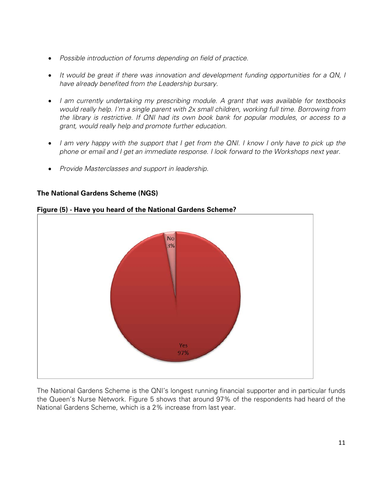- *Possible introduction of forums depending on field of practice.*
- *It would be great if there was innovation and development funding opportunities for a QN, I have already benefited from the Leadership bursary.*
- *I am currently undertaking my prescribing module. A grant that was available for textbooks would really help. I'm a single parent with 2x small children, working full time. Borrowing from the library is restrictive. If QNI had its own book bank for popular modules, or access to a grant, would really help and promote further education.*
- *I am very happy with the support that I get from the QNI. I know I only have to pick up the phone or email and I get an immediate response. I look forward to the Workshops next year.*
- *Provide Masterclasses and support in leadership.*

## **The National Gardens Scheme (NGS)**



## **Figure (5) - Have you heard of the National Gardens Scheme?**

The National Gardens Scheme is the QNI's longest running financial supporter and in particular funds the Queen's Nurse Network. Figure 5 shows that around 97% of the respondents had heard of the National Gardens Scheme, which is a 2% increase from last year.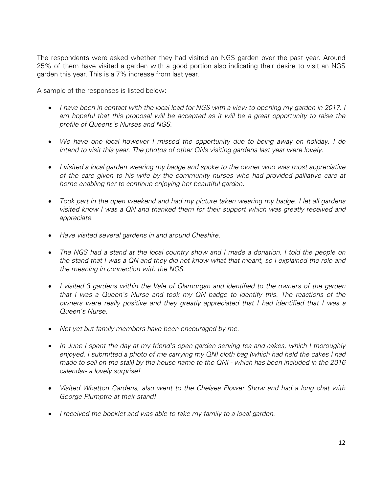The respondents were asked whether they had visited an NGS garden over the past year. Around 25% of them have visited a garden with a good portion also indicating their desire to visit an NGS garden this year. This is a 7% increase from last year.

A sample of the responses is listed below:

- *I have been in contact with the local lead for NGS with a view to opening my garden in 2017. I am hopeful that this proposal will be accepted as it will be a great opportunity to raise the profile of Queens's Nurses and NGS.*
- *We have one local however I missed the opportunity due to being away on holiday. I do intend to visit this year. The photos of other QNs visiting gardens last year were lovely.*
- *I visited a local garden wearing my badge and spoke to the owner who was most appreciative of the care given to his wife by the community nurses who had provided palliative care at home enabling her to continue enjoying her beautiful garden.*
- *Took part in the open weekend and had my picture taken wearing my badge. I let all gardens visited know I was a QN and thanked them for their support which was greatly received and appreciate.*
- *Have visited several gardens in and around Cheshire.*
- *The NGS had a stand at the local country show and I made a donation. I told the people on the stand that I was a QN and they did not know what that meant, so I explained the role and the meaning in connection with the NGS.*
- *I visited 3 gardens within the Vale of Glamorgan and identified to the owners of the garden that I was a Queen's Nurse and took my QN badge to identify this. The reactions of the owners were really positive and they greatly appreciated that I had identified that I was a Queen's Nurse.*
- *Not yet but family members have been encouraged by me.*
- *In June I spent the day at my friend's open garden serving tea and cakes, which I thoroughly enjoyed. I submitted a photo of me carrying my QNI cloth bag (which had held the cakes I had made to sell on the stall) by the house name to the QNI - which has been included in the 2016 calendar- a lovely surprise!*
- *Visited Whatton Gardens, also went to the Chelsea Flower Show and had a long chat with George Plumptre at their stand!*
- *I received the booklet and was able to take my family to a local garden.*